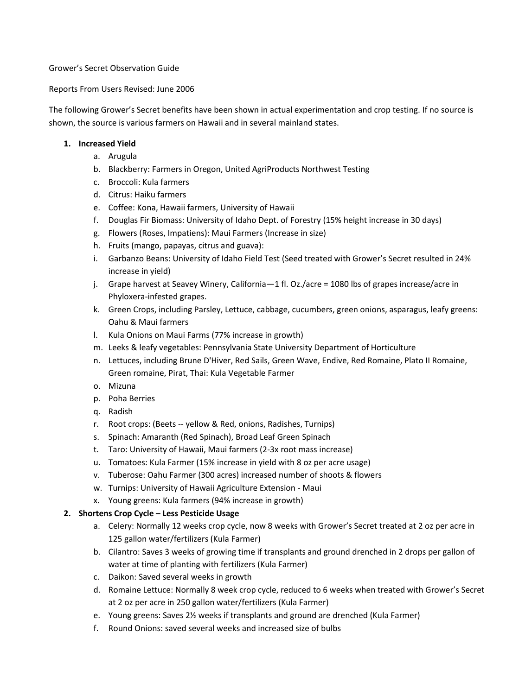#### Grower's Secret Observation Guide

#### Reports From Users Revised: June 2006

The following Grower's Secret benefits have been shown in actual experimentation and crop testing. If no source is shown, the source is various farmers on Hawaii and in several mainland states.

#### **1. Increased Yield**

- a. Arugula
- b. Blackberry: Farmers in Oregon, United AgriProducts Northwest Testing
- c. Broccoli: Kula farmers
- d. Citrus: Haiku farmers
- e. Coffee: Kona, Hawaii farmers, University of Hawaii
- f. Douglas Fir Biomass: University of Idaho Dept. of Forestry (15% height increase in 30 days)
- g. Flowers (Roses, Impatiens): Maui Farmers (Increase in size)
- h. Fruits (mango, papayas, citrus and guava):
- i. Garbanzo Beans: University of Idaho Field Test (Seed treated with Grower's Secret resulted in 24% increase in yield)
- j. Grape harvest at Seavey Winery, California—1 fl. Oz./acre = 1080 lbs of grapes increase/acre in Phyloxera-infested grapes.
- k. Green Crops, including Parsley, Lettuce, cabbage, cucumbers, green onions, asparagus, leafy greens: Oahu & Maui farmers
- l. Kula Onions on Maui Farms (77% increase in growth)
- m. Leeks & leafy vegetables: Pennsylvania State University Department of Horticulture
- n. Lettuces, including Brune D'Hiver, Red Sails, Green Wave, Endive, Red Romaine, Plato II Romaine, Green romaine, Pirat, Thai: Kula Vegetable Farmer
- o. Mizuna
- p. Poha Berries
- q. Radish
- r. Root crops: (Beets -- yellow & Red, onions, Radishes, Turnips)
- s. Spinach: Amaranth (Red Spinach), Broad Leaf Green Spinach
- t. Taro: University of Hawaii, Maui farmers (2-3x root mass increase)
- u. Tomatoes: Kula Farmer (15% increase in yield with 8 oz per acre usage)
- v. Tuberose: Oahu Farmer (300 acres) increased number of shoots & flowers
- w. Turnips: University of Hawaii Agriculture Extension Maui
- x. Young greens: Kula farmers (94% increase in growth)

### **2. Shortens Crop Cycle – Less Pesticide Usage**

- a. Celery: Normally 12 weeks crop cycle, now 8 weeks with Grower's Secret treated at 2 oz per acre in 125 gallon water/fertilizers (Kula Farmer)
- b. Cilantro: Saves 3 weeks of growing time if transplants and ground drenched in 2 drops per gallon of water at time of planting with fertilizers (Kula Farmer)
- c. Daikon: Saved several weeks in growth
- d. Romaine Lettuce: Normally 8 week crop cycle, reduced to 6 weeks when treated with Grower's Secret at 2 oz per acre in 250 gallon water/fertilizers (Kula Farmer)
- e. Young greens: Saves 2½ weeks if transplants and ground are drenched (Kula Farmer)
- f. Round Onions: saved several weeks and increased size of bulbs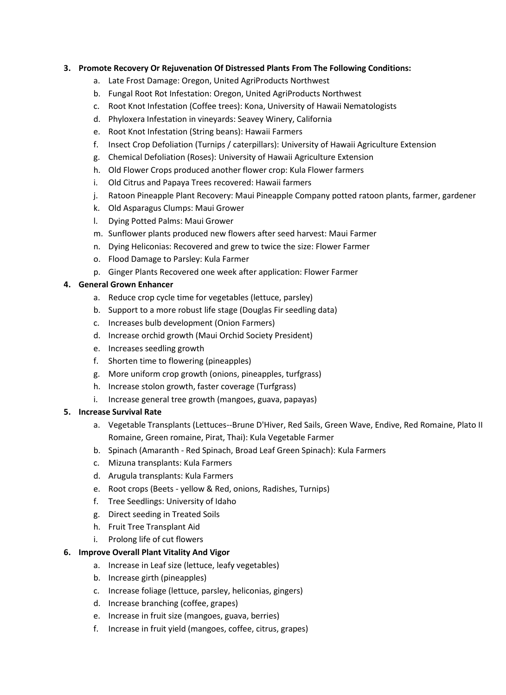### **3. Promote Recovery Or Rejuvenation Of Distressed Plants From The Following Conditions:**

- a. Late Frost Damage: Oregon, United AgriProducts Northwest
- b. Fungal Root Rot Infestation: Oregon, United AgriProducts Northwest
- c. Root Knot Infestation (Coffee trees): Kona, University of Hawaii Nematologists
- d. Phyloxera Infestation in vineyards: Seavey Winery, California
- e. Root Knot Infestation (String beans): Hawaii Farmers
- f. Insect Crop Defoliation (Turnips / caterpillars): University of Hawaii Agriculture Extension
- g. Chemical Defoliation (Roses): University of Hawaii Agriculture Extension
- h. Old Flower Crops produced another flower crop: Kula Flower farmers
- i. Old Citrus and Papaya Trees recovered: Hawaii farmers
- j. Ratoon Pineapple Plant Recovery: Maui Pineapple Company potted ratoon plants, farmer, gardener
- k. Old Asparagus Clumps: Maui Grower
- l. Dying Potted Palms: Maui Grower
- m. Sunflower plants produced new flowers after seed harvest: Maui Farmer
- n. Dying Heliconias: Recovered and grew to twice the size: Flower Farmer
- o. Flood Damage to Parsley: Kula Farmer
- p. Ginger Plants Recovered one week after application: Flower Farmer

#### **4. General Grown Enhancer**

- a. Reduce crop cycle time for vegetables (lettuce, parsley)
- b. Support to a more robust life stage (Douglas Fir seedling data)
- c. Increases bulb development (Onion Farmers)
- d. Increase orchid growth (Maui Orchid Society President)
- e. Increases seedling growth
- f. Shorten time to flowering (pineapples)
- g. More uniform crop growth (onions, pineapples, turfgrass)
- h. Increase stolon growth, faster coverage (Turfgrass)
- i. Increase general tree growth (mangoes, guava, papayas)

### **5. Increase Survival Rate**

- a. Vegetable Transplants (Lettuces--Brune D'Hiver, Red Sails, Green Wave, Endive, Red Romaine, Plato II Romaine, Green romaine, Pirat, Thai): Kula Vegetable Farmer
- b. Spinach (Amaranth Red Spinach, Broad Leaf Green Spinach): Kula Farmers
- c. Mizuna transplants: Kula Farmers
- d. Arugula transplants: Kula Farmers
- e. Root crops (Beets yellow & Red, onions, Radishes, Turnips)
- f. Tree Seedlings: University of Idaho
- g. Direct seeding in Treated Soils
- h. Fruit Tree Transplant Aid
- i. Prolong life of cut flowers

### **6. Improve Overall Plant Vitality And Vigor**

- a. Increase in Leaf size (lettuce, leafy vegetables)
- b. Increase girth (pineapples)
- c. Increase foliage (lettuce, parsley, heliconias, gingers)
- d. Increase branching (coffee, grapes)
- e. Increase in fruit size (mangoes, guava, berries)
- f. Increase in fruit yield (mangoes, coffee, citrus, grapes)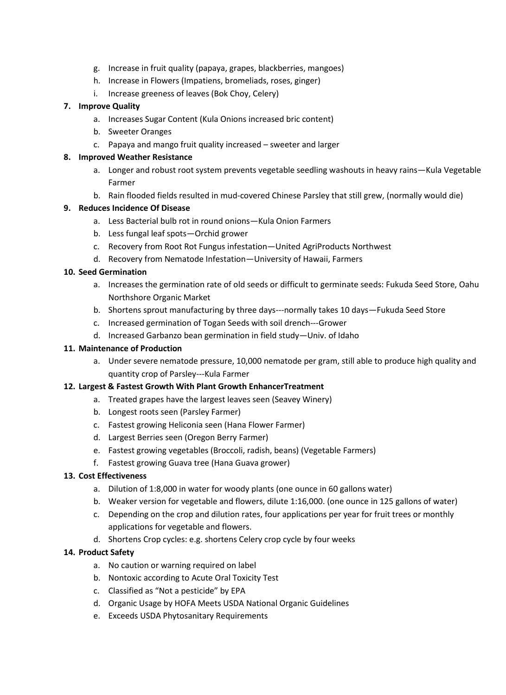- g. Increase in fruit quality (papaya, grapes, blackberries, mangoes)
- h. Increase in Flowers (Impatiens, bromeliads, roses, ginger)
- i. Increase greeness of leaves (Bok Choy, Celery)

# **7. Improve Quality**

- a. Increases Sugar Content (Kula Onions increased bric content)
- b. Sweeter Oranges
- c. Papaya and mango fruit quality increased sweeter and larger

### **8. Improved Weather Resistance**

- a. Longer and robust root system prevents vegetable seedling washouts in heavy rains—Kula Vegetable Farmer
- b. Rain flooded fields resulted in mud-covered Chinese Parsley that still grew, (normally would die)

# **9. Reduces Incidence Of Disease**

- a. Less Bacterial bulb rot in round onions—Kula Onion Farmers
- b. Less fungal leaf spots—Orchid grower
- c. Recovery from Root Rot Fungus infestation—United AgriProducts Northwest
- d. Recovery from Nematode Infestation—University of Hawaii, Farmers

# **10. Seed Germination**

- a. Increases the germination rate of old seeds or difficult to germinate seeds: Fukuda Seed Store, Oahu Northshore Organic Market
- b. Shortens sprout manufacturing by three days---normally takes 10 days—Fukuda Seed Store
- c. Increased germination of Togan Seeds with soil drench---Grower
- d. Increased Garbanzo bean germination in field study—Univ. of Idaho

## **11. Maintenance of Production**

a. Under severe nematode pressure, 10,000 nematode per gram, still able to produce high quality and quantity crop of Parsley---Kula Farmer

### **12. Largest & Fastest Growth With Plant Growth EnhancerTreatment**

- a. Treated grapes have the largest leaves seen (Seavey Winery)
- b. Longest roots seen (Parsley Farmer)
- c. Fastest growing Heliconia seen (Hana Flower Farmer)
- d. Largest Berries seen (Oregon Berry Farmer)
- e. Fastest growing vegetables (Broccoli, radish, beans) (Vegetable Farmers)
- f. Fastest growing Guava tree (Hana Guava grower)

### **13. Cost Effectiveness**

- a. Dilution of 1:8,000 in water for woody plants (one ounce in 60 gallons water)
- b. Weaker version for vegetable and flowers, dilute 1:16,000. (one ounce in 125 gallons of water)
- c. Depending on the crop and dilution rates, four applications per year for fruit trees or monthly applications for vegetable and flowers.
- d. Shortens Crop cycles: e.g. shortens Celery crop cycle by four weeks

### **14. Product Safety**

- a. No caution or warning required on label
- b. Nontoxic according to Acute Oral Toxicity Test
- c. Classified as "Not a pesticide" by EPA
- d. Organic Usage by HOFA Meets USDA National Organic Guidelines
- e. Exceeds USDA Phytosanitary Requirements